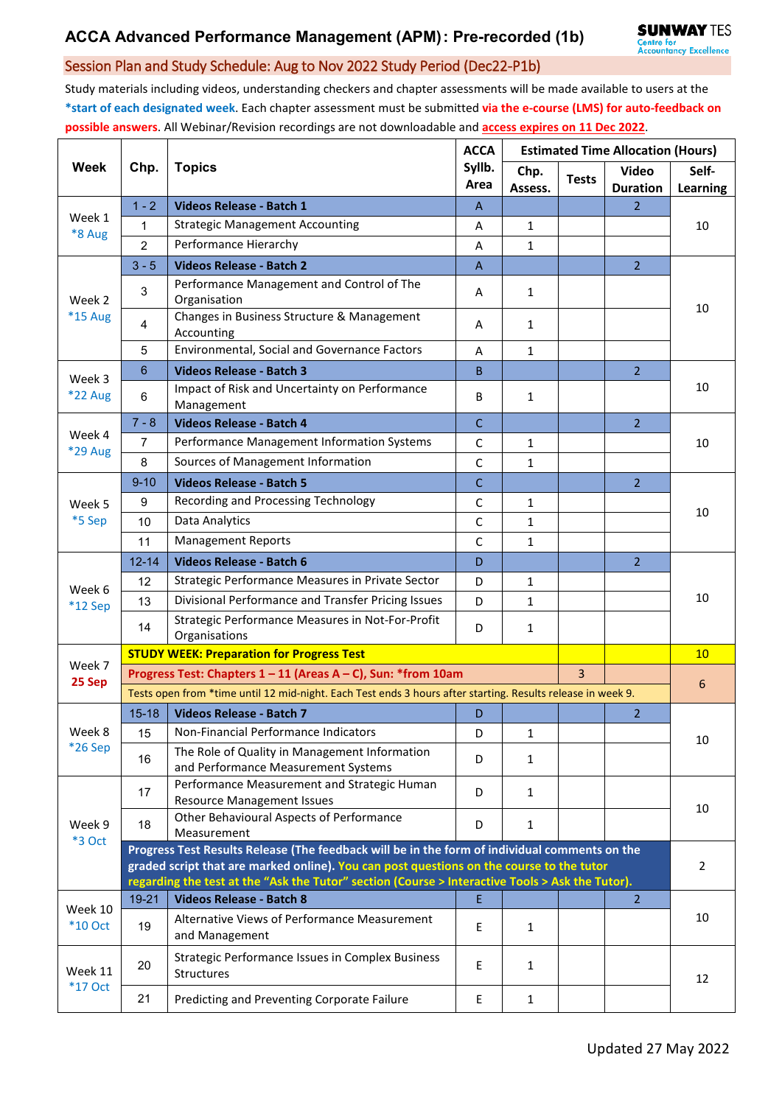## Session Plan and Study Schedule: Aug to Nov 2022 Study Period (Dec22-P1b)

Study materials including videos, understanding checkers and chapter assessments will be made available to users at the **\*start of each designated week**. Each chapter assessment must be submitted **via the e-course (LMS) for auto-feedback on possible answers**. All Webinar/Revision recordings are not downloadable and **access expires on 11 Dec 2022**.

| <b>Week</b>               | Chp.                                                                                                                                                                                        | <b>Topics</b>                                                                        | <b>ACCA</b><br>Syllb.<br>Area | <b>Estimated Time Allocation (Hours)</b> |              |                                 |                   |  |  |
|---------------------------|---------------------------------------------------------------------------------------------------------------------------------------------------------------------------------------------|--------------------------------------------------------------------------------------|-------------------------------|------------------------------------------|--------------|---------------------------------|-------------------|--|--|
|                           |                                                                                                                                                                                             |                                                                                      |                               | Chp.<br>Assess.                          | <b>Tests</b> | <b>Video</b><br><b>Duration</b> | Self-<br>Learning |  |  |
| Week 1<br>*8 Aug          | $1 - 2$                                                                                                                                                                                     | Videos Release - Batch 1                                                             | A                             |                                          |              | $\overline{2}$                  | 10                |  |  |
|                           | 1                                                                                                                                                                                           | <b>Strategic Management Accounting</b>                                               | Α                             | $\mathbf{1}$                             |              |                                 |                   |  |  |
|                           | $\overline{2}$                                                                                                                                                                              | Performance Hierarchy                                                                | A                             | $\mathbf{1}$                             |              |                                 |                   |  |  |
| Week 2<br>*15 Aug         | $3 - 5$                                                                                                                                                                                     | <b>Videos Release - Batch 2</b>                                                      | $\overline{A}$                |                                          |              | $\overline{2}$                  | 10                |  |  |
|                           | 3                                                                                                                                                                                           | Performance Management and Control of The<br>Organisation                            | A                             | $\mathbf{1}$                             |              |                                 |                   |  |  |
|                           | 4                                                                                                                                                                                           | Changes in Business Structure & Management<br>Accounting                             | A                             | $\mathbf{1}$                             |              |                                 |                   |  |  |
|                           | 5                                                                                                                                                                                           | Environmental, Social and Governance Factors                                         | А                             | 1                                        |              |                                 |                   |  |  |
| Week 3                    | 6                                                                                                                                                                                           | <b>Videos Release - Batch 3</b>                                                      | B                             |                                          |              | $\overline{2}$                  | 10                |  |  |
| <b>*22 Aug</b>            | 6                                                                                                                                                                                           | Impact of Risk and Uncertainty on Performance<br>Management                          | B                             | $\mathbf{1}$                             |              |                                 |                   |  |  |
|                           | $7 - 8$                                                                                                                                                                                     | <b>Videos Release - Batch 4</b>                                                      | $\mathsf{C}$                  |                                          |              | $\overline{2}$                  | 10                |  |  |
| Week 4<br>*29 Aug         | $\overline{7}$                                                                                                                                                                              | Performance Management Information Systems                                           | C                             | $\mathbf{1}$                             |              |                                 |                   |  |  |
|                           | 8                                                                                                                                                                                           | Sources of Management Information                                                    | $\mathsf C$                   | $\mathbf{1}$                             |              |                                 |                   |  |  |
|                           | $9 - 10$                                                                                                                                                                                    | <b>Videos Release - Batch 5</b>                                                      | $\mathsf{C}$                  |                                          |              | $\overline{2}$                  | 10                |  |  |
| Week 5                    | 9                                                                                                                                                                                           | Recording and Processing Technology                                                  | C                             | $\mathbf{1}$                             |              |                                 |                   |  |  |
| *5 Sep                    | 10                                                                                                                                                                                          | Data Analytics                                                                       | C                             | 1                                        |              |                                 |                   |  |  |
|                           | 11                                                                                                                                                                                          | <b>Management Reports</b>                                                            | С                             | 1                                        |              |                                 |                   |  |  |
|                           | $12 - 14$                                                                                                                                                                                   | <b>Videos Release - Batch 6</b>                                                      | D                             |                                          |              | $\overline{2}$                  | 10                |  |  |
|                           | 12                                                                                                                                                                                          | Strategic Performance Measures in Private Sector                                     | D                             | 1                                        |              |                                 |                   |  |  |
| Week 6<br>$*12$ Sep       | 13                                                                                                                                                                                          | Divisional Performance and Transfer Pricing Issues                                   | D                             | $\mathbf{1}$                             |              |                                 |                   |  |  |
|                           | 14                                                                                                                                                                                          | Strategic Performance Measures in Not-For-Profit<br>Organisations                    | D                             | 1                                        |              |                                 |                   |  |  |
|                           | <b>STUDY WEEK: Preparation for Progress Test</b>                                                                                                                                            |                                                                                      |                               |                                          |              |                                 |                   |  |  |
| Week 7<br>25 Sep          | Progress Test: Chapters 1 - 11 (Areas A - C), Sun: *from 10am                                                                                                                               |                                                                                      |                               |                                          |              |                                 |                   |  |  |
|                           | Tests open from *time until 12 mid-night. Each Test ends 3 hours after starting. Results release in week 9.                                                                                 |                                                                                      |                               |                                          |              |                                 | 6                 |  |  |
|                           | $15 - 18$                                                                                                                                                                                   | <b>Videos Release - Batch 7</b>                                                      | D                             |                                          |              | $\overline{2}$                  |                   |  |  |
| Week 8                    | 15                                                                                                                                                                                          | Non-Financial Performance Indicators                                                 | D                             | $\mathbf{1}$                             |              |                                 | 10                |  |  |
| *26 Sep                   | 16                                                                                                                                                                                          | The Role of Quality in Management Information<br>and Performance Measurement Systems | D                             | 1                                        |              |                                 |                   |  |  |
| Week 9<br>*3 Oct          | 17                                                                                                                                                                                          | Performance Measurement and Strategic Human<br><b>Resource Management Issues</b>     | D                             | $\mathbf{1}$                             |              |                                 |                   |  |  |
|                           | 18                                                                                                                                                                                          | Other Behavioural Aspects of Performance<br>Measurement                              | D                             | 1                                        |              |                                 | 10                |  |  |
|                           | Progress Test Results Release (The feedback will be in the form of individual comments on the                                                                                               |                                                                                      |                               |                                          |              |                                 |                   |  |  |
|                           | graded script that are marked online). You can post questions on the course to the tutor<br>regarding the test at the "Ask the Tutor" section (Course > Interactive Tools > Ask the Tutor). |                                                                                      |                               |                                          |              |                                 | $\overline{2}$    |  |  |
| Week 10<br><b>*10 Oct</b> | 19-21                                                                                                                                                                                       | <b>Videos Release - Batch 8</b>                                                      | E                             |                                          |              | $\overline{2}$                  |                   |  |  |
|                           | 19                                                                                                                                                                                          | Alternative Views of Performance Measurement<br>and Management                       | E                             | $\mathbf{1}$                             |              |                                 | 10                |  |  |
| Week 11<br><b>*17 Oct</b> | 20                                                                                                                                                                                          | <b>Strategic Performance Issues in Complex Business</b><br>Structures                | Е                             | $\mathbf{1}$                             |              |                                 | 12                |  |  |
|                           | 21                                                                                                                                                                                          | Predicting and Preventing Corporate Failure                                          | Е                             | $\mathbf{1}$                             |              |                                 |                   |  |  |